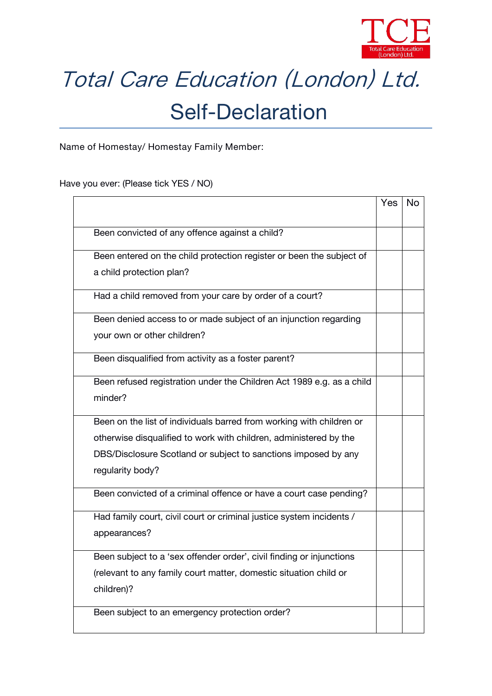

## Total Care Education (London) Ltd. Self-Declaration

**Name of Homestay/ Homestay Family Member:**

Have you ever: (Please tick YES / NO)

|                                                                       | Yes | No |
|-----------------------------------------------------------------------|-----|----|
| Been convicted of any offence against a child?                        |     |    |
| Been entered on the child protection register or been the subject of  |     |    |
| a child protection plan?                                              |     |    |
| Had a child removed from your care by order of a court?               |     |    |
| Been denied access to or made subject of an injunction regarding      |     |    |
| your own or other children?                                           |     |    |
| Been disqualified from activity as a foster parent?                   |     |    |
| Been refused registration under the Children Act 1989 e.g. as a child |     |    |
| minder?                                                               |     |    |
| Been on the list of individuals barred from working with children or  |     |    |
| otherwise disqualified to work with children, administered by the     |     |    |
| DBS/Disclosure Scotland or subject to sanctions imposed by any        |     |    |
| regularity body?                                                      |     |    |
| Been convicted of a criminal offence or have a court case pending?    |     |    |
| Had family court, civil court or criminal justice system incidents /  |     |    |
| appearances?                                                          |     |    |
| Been subject to a 'sex offender order', civil finding or injunctions  |     |    |
| (relevant to any family court matter, domestic situation child or     |     |    |
| children)?                                                            |     |    |
| Been subject to an emergency protection order?                        |     |    |
|                                                                       |     |    |